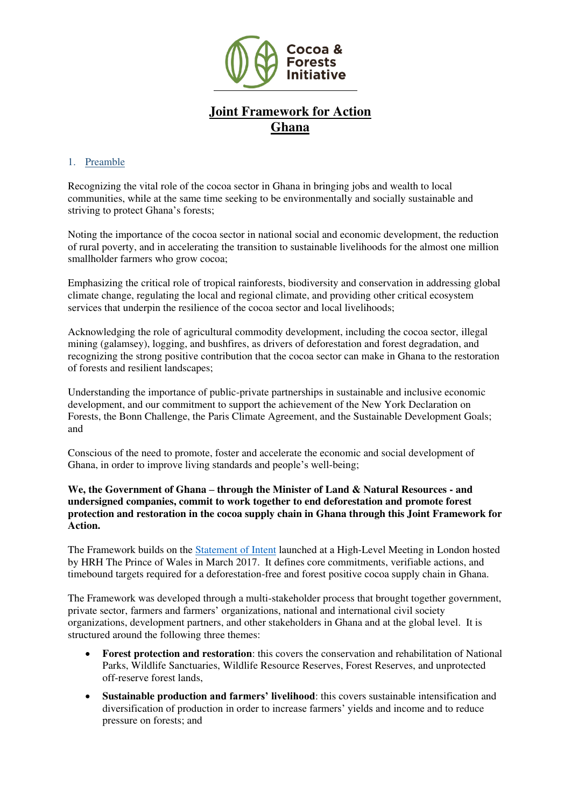

# **Joint Framework for Action Ghana**

## 1. Preamble

Recognizing the vital role of the cocoa sector in Ghana in bringing jobs and wealth to local communities, while at the same time seeking to be environmentally and socially sustainable and striving to protect Ghana's forests;

Noting the importance of the cocoa sector in national social and economic development, the reduction of rural poverty, and in accelerating the transition to sustainable livelihoods for the almost one million smallholder farmers who grow cocoa;

Emphasizing the critical role of tropical rainforests, biodiversity and conservation in addressing global climate change, regulating the local and regional climate, and providing other critical ecosystem services that underpin the resilience of the cocoa sector and local livelihoods;

Acknowledging the role of agricultural commodity development, including the cocoa sector, illegal mining (galamsey), logging, and bushfires, as drivers of deforestation and forest degradation, and recognizing the strong positive contribution that the cocoa sector can make in Ghana to the restoration of forests and resilient landscapes;

Understanding the importance of public-private partnerships in sustainable and inclusive economic development, and our commitment to support the achievement of the New York Declaration on Forests, the Bonn Challenge, the Paris Climate Agreement, and the Sustainable Development Goals; and

Conscious of the need to promote, foster and accelerate the economic and social development of Ghana, in order to improve living standards and people's well-being;

**We, the Government of Ghana – through the Minister of Land & Natural Resources - and undersigned companies, commit to work together to end deforestation and promote forest protection and restoration in the cocoa supply chain in Ghana through this Joint Framework for Action.** 

The Framework builds on the [Statement of Intent](https://www.idhsustainabletrade.com/uploaded/2017/03/StatementOfIntent_Eng.pdf) launched at a High-Level Meeting in London hosted by HRH The Prince of Wales in March 2017. It defines core commitments, verifiable actions, and timebound targets required for a deforestation-free and forest positive cocoa supply chain in Ghana.

The Framework was developed through a multi-stakeholder process that brought together government, private sector, farmers and farmers' organizations, national and international civil society organizations, development partners, and other stakeholders in Ghana and at the global level. It is structured around the following three themes:

- **Forest protection and restoration**: this covers the conservation and rehabilitation of National Parks, Wildlife Sanctuaries, Wildlife Resource Reserves, Forest Reserves, and unprotected off-reserve forest lands,
- **Sustainable production and farmers' livelihood**: this covers sustainable intensification and diversification of production in order to increase farmers' yields and income and to reduce pressure on forests; and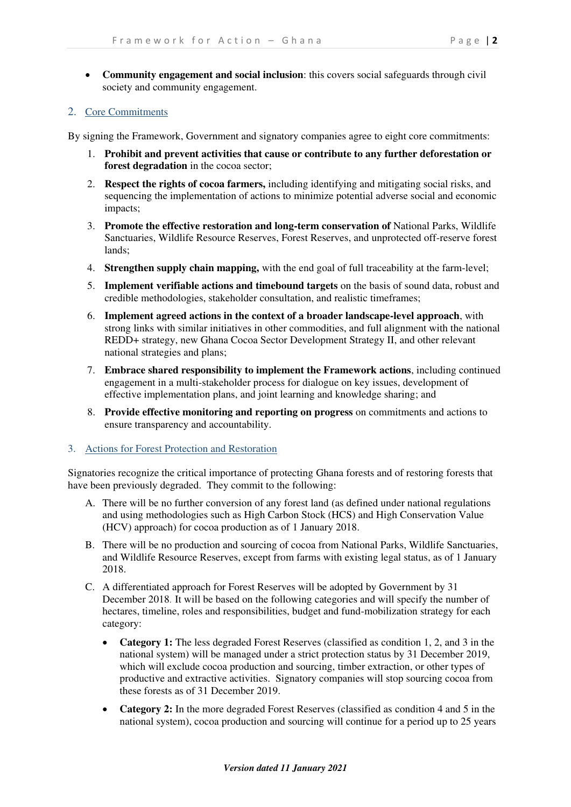• **Community engagement and social inclusion**: this covers social safeguards through civil society and community engagement.

#### 2. Core Commitments

By signing the Framework, Government and signatory companies agree to eight core commitments:

- 1. **Prohibit and prevent activities that cause or contribute to any further deforestation or forest degradation** in the cocoa sector;
- 2. **Respect the rights of cocoa farmers,** including identifying and mitigating social risks, and sequencing the implementation of actions to minimize potential adverse social and economic impacts;
- 3. **Promote the effective restoration and long-term conservation of** National Parks, Wildlife Sanctuaries, Wildlife Resource Reserves, Forest Reserves, and unprotected off-reserve forest lands;
- 4. **Strengthen supply chain mapping,** with the end goal of full traceability at the farm-level;
- 5. **Implement verifiable actions and timebound targets** on the basis of sound data, robust and credible methodologies, stakeholder consultation, and realistic timeframes;
- 6. **Implement agreed actions in the context of a broader landscape-level approach**, with strong links with similar initiatives in other commodities, and full alignment with the national REDD+ strategy, new Ghana Cocoa Sector Development Strategy II, and other relevant national strategies and plans;
- 7. **Embrace shared responsibility to implement the Framework actions**, including continued engagement in a multi-stakeholder process for dialogue on key issues, development of effective implementation plans, and joint learning and knowledge sharing; and
- 8. **Provide effective monitoring and reporting on progress** on commitments and actions to ensure transparency and accountability.
- 3. Actions for Forest Protection and Restoration

Signatories recognize the critical importance of protecting Ghana forests and of restoring forests that have been previously degraded. They commit to the following:

- A. There will be no further conversion of any forest land (as defined under national regulations and using methodologies such as High Carbon Stock (HCS) and High Conservation Value (HCV) approach) for cocoa production as of 1 January 2018.
- B. There will be no production and sourcing of cocoa from National Parks, Wildlife Sanctuaries, and Wildlife Resource Reserves, except from farms with existing legal status, as of 1 January 2018.
- C. A differentiated approach for Forest Reserves will be adopted by Government by 31 December 2018. It will be based on the following categories and will specify the number of hectares, timeline, roles and responsibilities, budget and fund-mobilization strategy for each category:
	- **Category 1:** The less degraded Forest Reserves (classified as condition 1, 2, and 3 in the national system) will be managed under a strict protection status by 31 December 2019, which will exclude cocoa production and sourcing, timber extraction, or other types of productive and extractive activities. Signatory companies will stop sourcing cocoa from these forests as of 31 December 2019.
	- **Category 2:** In the more degraded Forest Reserves (classified as condition 4 and 5 in the national system), cocoa production and sourcing will continue for a period up to 25 years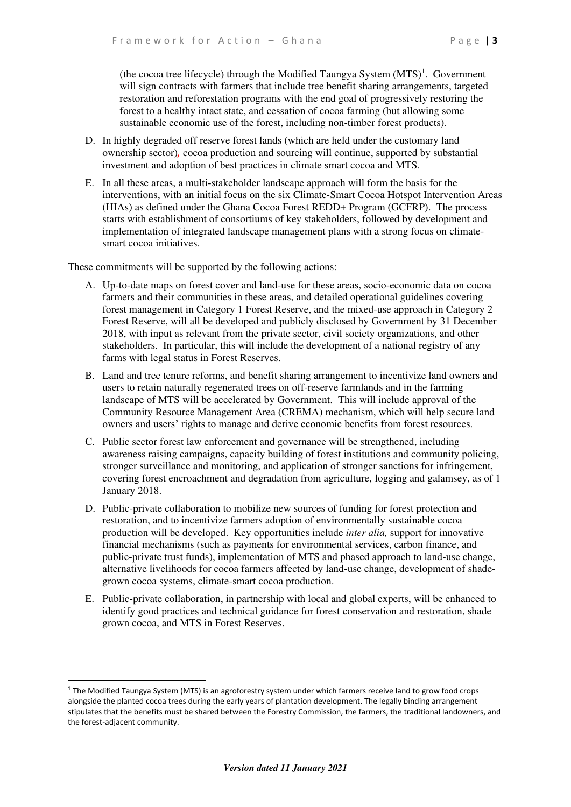(the cocoa tree lifecycle) through the Modified Taungya System  $(MTS)^1$ . Government will sign contracts with farmers that include tree benefit sharing arrangements, targeted restoration and reforestation programs with the end goal of progressively restoring the forest to a healthy intact state, and cessation of cocoa farming (but allowing some sustainable economic use of the forest, including non-timber forest products).

- D. In highly degraded off reserve forest lands (which are held under the customary land ownership sector)*,* cocoa production and sourcing will continue, supported by substantial investment and adoption of best practices in climate smart cocoa and MTS.
- E. In all these areas, a multi-stakeholder landscape approach will form the basis for the interventions, with an initial focus on the six Climate-Smart Cocoa Hotspot Intervention Areas (HIAs) as defined under the Ghana Cocoa Forest REDD+ Program (GCFRP). The process starts with establishment of consortiums of key stakeholders, followed by development and implementation of integrated landscape management plans with a strong focus on climatesmart cocoa initiatives.

These commitments will be supported by the following actions:

- A. Up-to-date maps on forest cover and land-use for these areas, socio-economic data on cocoa farmers and their communities in these areas, and detailed operational guidelines covering forest management in Category 1 Forest Reserve, and the mixed-use approach in Category 2 Forest Reserve, will all be developed and publicly disclosed by Government by 31 December 2018, with input as relevant from the private sector, civil society organizations, and other stakeholders. In particular, this will include the development of a national registry of any farms with legal status in Forest Reserves.
- B. Land and tree tenure reforms, and benefit sharing arrangement to incentivize land owners and users to retain naturally regenerated trees on off-reserve farmlands and in the farming landscape of MTS will be accelerated by Government. This will include approval of the Community Resource Management Area (CREMA) mechanism, which will help secure land owners and users' rights to manage and derive economic benefits from forest resources.
- C. Public sector forest law enforcement and governance will be strengthened, including awareness raising campaigns, capacity building of forest institutions and community policing, stronger surveillance and monitoring, and application of stronger sanctions for infringement, covering forest encroachment and degradation from agriculture, logging and galamsey, as of 1 January 2018.
- D. Public-private collaboration to mobilize new sources of funding for forest protection and restoration, and to incentivize farmers adoption of environmentally sustainable cocoa production will be developed. Key opportunities include *inter alia,* support for innovative financial mechanisms (such as payments for environmental services, carbon finance, and public-private trust funds), implementation of MTS and phased approach to land-use change, alternative livelihoods for cocoa farmers affected by land-use change, development of shadegrown cocoa systems, climate-smart cocoa production.
- E. Public-private collaboration, in partnership with local and global experts, will be enhanced to identify good practices and technical guidance for forest conservation and restoration, shade grown cocoa, and MTS in Forest Reserves.

<sup>&</sup>lt;sup>1</sup> The Modified Taungya System (MTS) is an agroforestry system under which farmers receive land to grow food crops alongside the planted cocoa trees during the early years of plantation development. The legally binding arrangement stipulates that the benefits must be shared between the Forestry Commission, the farmers, the traditional landowners, and the forest-adjacent community.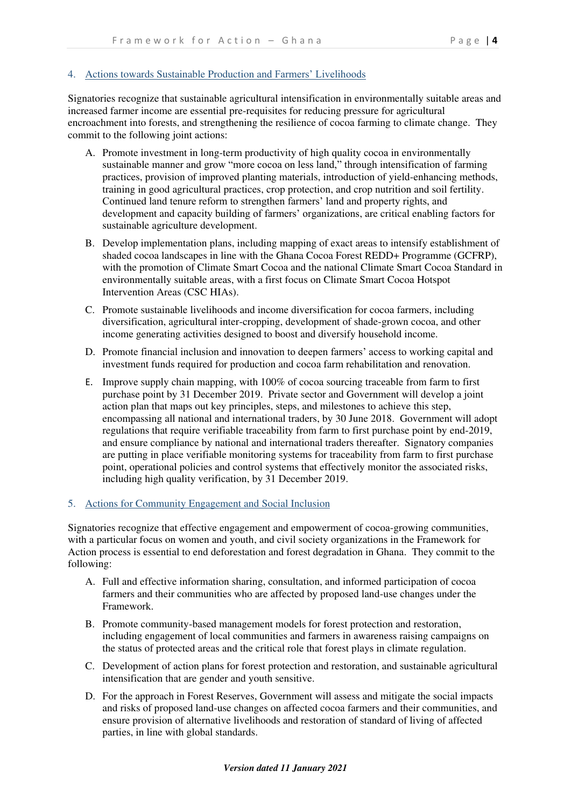### 4. Actions towards Sustainable Production and Farmers' Livelihoods

Signatories recognize that sustainable agricultural intensification in environmentally suitable areas and increased farmer income are essential pre-requisites for reducing pressure for agricultural encroachment into forests, and strengthening the resilience of cocoa farming to climate change. They commit to the following joint actions:

- A. Promote investment in long-term productivity of high quality cocoa in environmentally sustainable manner and grow "more cocoa on less land," through intensification of farming practices, provision of improved planting materials, introduction of yield-enhancing methods, training in good agricultural practices, crop protection, and crop nutrition and soil fertility. Continued land tenure reform to strengthen farmers' land and property rights, and development and capacity building of farmers' organizations, are critical enabling factors for sustainable agriculture development.
- B. Develop implementation plans, including mapping of exact areas to intensify establishment of shaded cocoa landscapes in line with the Ghana Cocoa Forest REDD+ Programme (GCFRP), with the promotion of Climate Smart Cocoa and the national Climate Smart Cocoa Standard in environmentally suitable areas, with a first focus on Climate Smart Cocoa Hotspot Intervention Areas (CSC HIAs).
- C. Promote sustainable livelihoods and income diversification for cocoa farmers, including diversification, agricultural inter-cropping, development of shade-grown cocoa, and other income generating activities designed to boost and diversify household income.
- D. Promote financial inclusion and innovation to deepen farmers' access to working capital and investment funds required for production and cocoa farm rehabilitation and renovation.
- E. Improve supply chain mapping, with 100% of cocoa sourcing traceable from farm to first purchase point by 31 December 2019. Private sector and Government will develop a joint action plan that maps out key principles, steps, and milestones to achieve this step, encompassing all national and international traders, by 30 June 2018. Government will adopt regulations that require verifiable traceability from farm to first purchase point by end-2019, and ensure compliance by national and international traders thereafter. Signatory companies are putting in place verifiable monitoring systems for traceability from farm to first purchase point, operational policies and control systems that effectively monitor the associated risks, including high quality verification, by 31 December 2019.

#### 5. Actions for Community Engagement and Social Inclusion

Signatories recognize that effective engagement and empowerment of cocoa-growing communities, with a particular focus on women and youth, and civil society organizations in the Framework for Action process is essential to end deforestation and forest degradation in Ghana. They commit to the following:

- A. Full and effective information sharing, consultation, and informed participation of cocoa farmers and their communities who are affected by proposed land-use changes under the Framework.
- B. Promote community-based management models for forest protection and restoration, including engagement of local communities and farmers in awareness raising campaigns on the status of protected areas and the critical role that forest plays in climate regulation.
- C. Development of action plans for forest protection and restoration, and sustainable agricultural intensification that are gender and youth sensitive.
- D. For the approach in Forest Reserves, Government will assess and mitigate the social impacts and risks of proposed land-use changes on affected cocoa farmers and their communities, and ensure provision of alternative livelihoods and restoration of standard of living of affected parties, in line with global standards.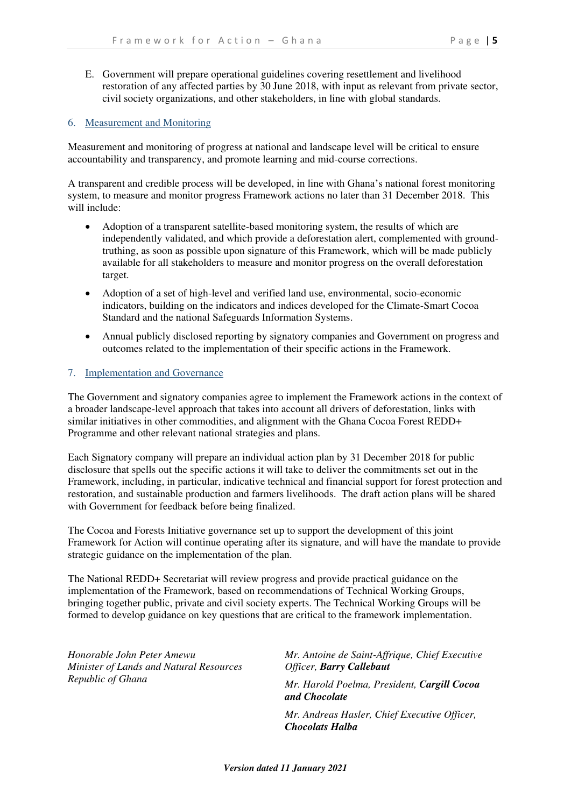E. Government will prepare operational guidelines covering resettlement and livelihood restoration of any affected parties by 30 June 2018, with input as relevant from private sector, civil society organizations, and other stakeholders, in line with global standards.

#### 6. Measurement and Monitoring

Measurement and monitoring of progress at national and landscape level will be critical to ensure accountability and transparency, and promote learning and mid-course corrections.

A transparent and credible process will be developed, in line with Ghana's national forest monitoring system, to measure and monitor progress Framework actions no later than 31 December 2018. This will include:

- Adoption of a transparent satellite-based monitoring system, the results of which are independently validated, and which provide a deforestation alert, complemented with groundtruthing, as soon as possible upon signature of this Framework, which will be made publicly available for all stakeholders to measure and monitor progress on the overall deforestation target.
- Adoption of a set of high-level and verified land use, environmental, socio-economic indicators, building on the indicators and indices developed for the Climate-Smart Cocoa Standard and the national Safeguards Information Systems.
- Annual publicly disclosed reporting by signatory companies and Government on progress and outcomes related to the implementation of their specific actions in the Framework.

#### 7. Implementation and Governance

The Government and signatory companies agree to implement the Framework actions in the context of a broader landscape-level approach that takes into account all drivers of deforestation, links with similar initiatives in other commodities, and alignment with the Ghana Cocoa Forest REDD+ Programme and other relevant national strategies and plans.

Each Signatory company will prepare an individual action plan by 31 December 2018 for public disclosure that spells out the specific actions it will take to deliver the commitments set out in the Framework, including, in particular, indicative technical and financial support for forest protection and restoration, and sustainable production and farmers livelihoods. The draft action plans will be shared with Government for feedback before being finalized.

The Cocoa and Forests Initiative governance set up to support the development of this joint Framework for Action will continue operating after its signature, and will have the mandate to provide strategic guidance on the implementation of the plan.

The National REDD+ Secretariat will review progress and provide practical guidance on the implementation of the Framework, based on recommendations of Technical Working Groups, bringing together public, private and civil society experts. The Technical Working Groups will be formed to develop guidance on key questions that are critical to the framework implementation.

*Honorable John Peter Amewu Minister of Lands and Natural Resources Republic of Ghana* 

*Mr. Antoine de Saint-Affrique, Chief Executive Officer, Barry Callebaut Mr. Harold Poelma, President, Cargill Cocoa and Chocolate* 

*Mr. Andreas Hasler, Chief Executive Officer, Chocolats Halba*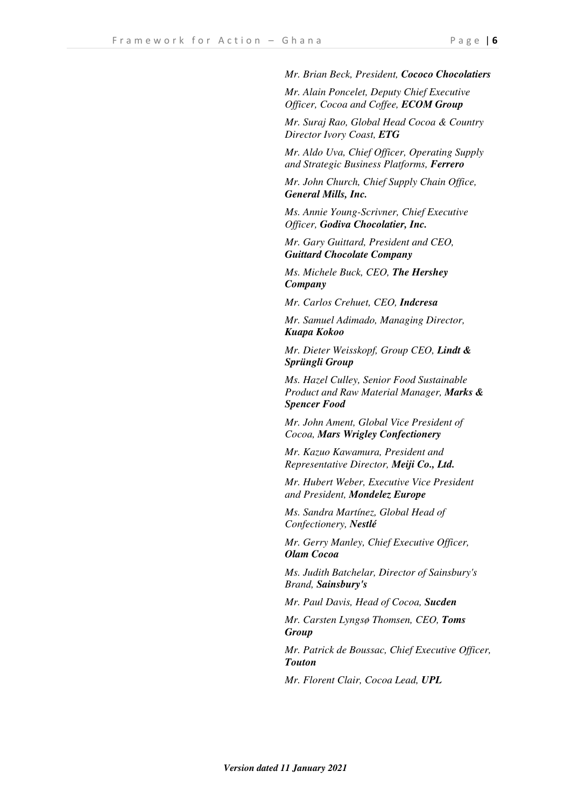*Mr. Brian Beck, President, Cococo Chocolatiers*

*Mr. Alain Poncelet, Deputy Chief Executive Officer, Cocoa and Coffee, ECOM Group*

*Mr. Suraj Rao, Global Head Cocoa & Country Director Ivory Coast, ETG* 

*Mr. Aldo Uva, Chief Officer, Operating Supply and Strategic Business Platforms, Ferrero* 

*Mr. John Church, Chief Supply Chain Office, General Mills, Inc.*

*Ms. Annie Young-Scrivner, Chief Executive Officer, Godiva Chocolatier, Inc.*

*Mr. Gary Guittard, President and CEO, Guittard Chocolate Company*

*Ms. Michele Buck, CEO, The Hershey Company* 

*Mr. Carlos Crehuet, CEO, Indcresa* 

*Mr. Samuel Adimado, Managing Director, Kuapa Kokoo*

*Mr. Dieter Weisskopf, Group CEO, Lindt & Sprüngli Group*

*Ms. Hazel Culley, Senior Food Sustainable Product and Raw Material Manager, Marks & Spencer Food* 

*Mr. John Ament, Global Vice President of Cocoa, Mars Wrigley Confectionery*

*Mr. Kazuo Kawamura, President and Representative Director, Meiji Co., Ltd.* 

*Mr. Hubert Weber, Executive Vice President and President, Mondelez Europe*

*Ms. Sandra Martínez, Global Head of Confectionery, Nestlé*

*Mr. Gerry Manley, Chief Executive Officer, Olam Cocoa* 

*Ms. Judith Batchelar, Director of Sainsbury's Brand, Sainsbury's* 

*Mr. Paul Davis, Head of Cocoa, Sucden*

*Mr. Carsten Lyngsø Thomsen, CEO, Toms Group* 

*Mr. Patrick de Boussac, Chief Executive Officer, Touton*

*Mr. Florent Clair, Cocoa Lead, UPL*